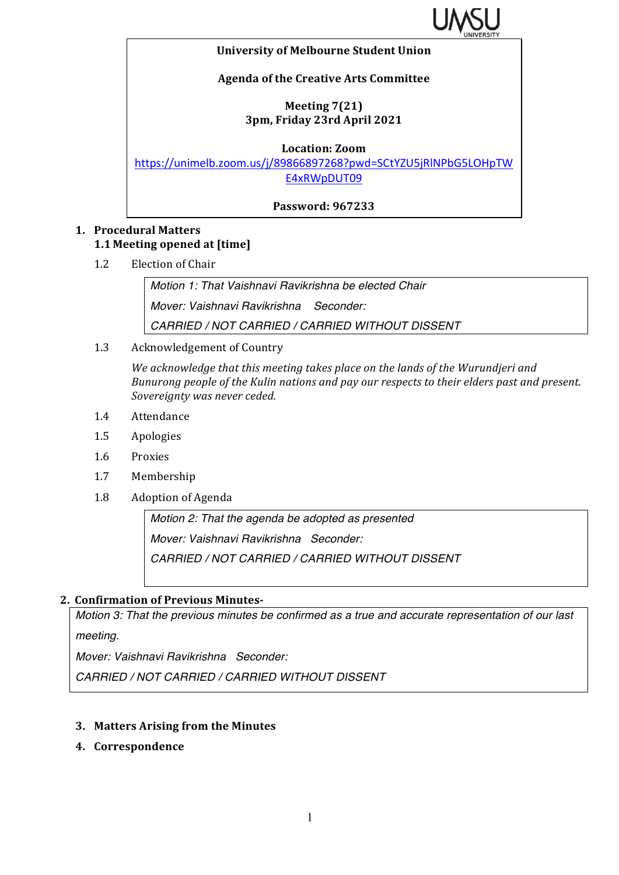

### **University of Melbourne Student Union**

### **Agenda of the Creative Arts Committee**

# **Meeting 7(21) 3pm, Friday 23rd April 2021**

**Location: Zoom**

https://unimelb.zoom.us/j/89866897268?pwd=SCtYZU5jRlNPbG5LOHpTW E4xRWpDUT09

**Password: 967233**

# **1. Procedural Matters 1.1 Meeting opened at [time]**

1.2 Election of Chair

*Motion 1: That Vaishnavi Ravikrishna be elected Chair Mover: Vaishnavi Ravikrishna Seconder: CARRIED / NOT CARRIED / CARRIED WITHOUT DISSENT*

1.3 Acknowledgement of Country

We acknowledge that this meeting takes place on the lands of the Wurundjeri and *Bunurong people of the Kulin nations and pay our respects to their elders past and present.* Sovereignty was never ceded.

- 1.4 Attendance
- 1.5 Apologies
- 1.6 Proxies
- 1.7 Membership
- 1.8 Adoption of Agenda

*Motion 2: That the agenda be adopted as presented Mover: Vaishnavi Ravikrishna Seconder: CARRIED / NOT CARRIED / CARRIED WITHOUT DISSENT*

# **2. Confirmation of Previous Minutes-**

*Motion 3: That the previous minutes be confirmed as a true and accurate representation of our last meeting.*

*Mover: Vaishnavi Ravikrishna Seconder:* 

*CARRIED / NOT CARRIED / CARRIED WITHOUT DISSENT*

### **3. Matters Arising from the Minutes**

**4. Correspondence**